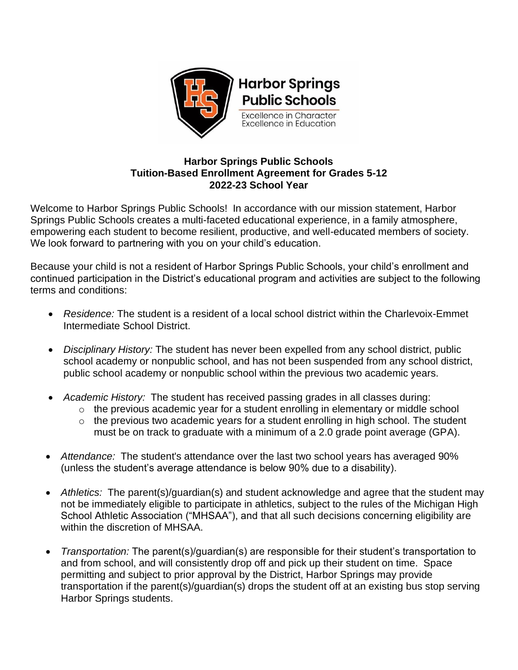

## **Harbor Springs Public Schools Tuition-Based Enrollment Agreement for Grades 5-12 2022-23 School Year**

Welcome to Harbor Springs Public Schools! In accordance with our mission statement, Harbor Springs Public Schools creates a multi-faceted educational experience, in a family atmosphere, empowering each student to become resilient, productive, and well-educated members of society. We look forward to partnering with you on your child's education.

Because your child is not a resident of Harbor Springs Public Schools, your child's enrollment and continued participation in the District's educational program and activities are subject to the following terms and conditions:

- *Residence:* The student is a resident of a local school district within the Charlevoix-Emmet Intermediate School District.
- *Disciplinary History:* The student has never been expelled from any school district, public school academy or nonpublic school, and has not been suspended from any school district, public school academy or nonpublic school within the previous two academic years.
- *Academic History:* The student has received passing grades in all classes during:
	- $\circ$  the previous academic year for a student enrolling in elementary or middle school
	- $\circ$  the previous two academic years for a student enrolling in high school. The student must be on track to graduate with a minimum of a 2.0 grade point average (GPA).
- *Attendance:* The student's attendance over the last two school years has averaged 90% (unless the student's average attendance is below 90% due to a disability).
- *Athletics:* The parent(s)/guardian(s) and student acknowledge and agree that the student may not be immediately eligible to participate in athletics, subject to the rules of the Michigan High School Athletic Association ("MHSAA"), and that all such decisions concerning eligibility are within the discretion of MHSAA.
- *Transportation:* The parent(s)/guardian(s) are responsible for their student's transportation to and from school, and will consistently drop off and pick up their student on time. Space permitting and subject to prior approval by the District, Harbor Springs may provide transportation if the parent(s)/guardian(s) drops the student off at an existing bus stop serving Harbor Springs students.